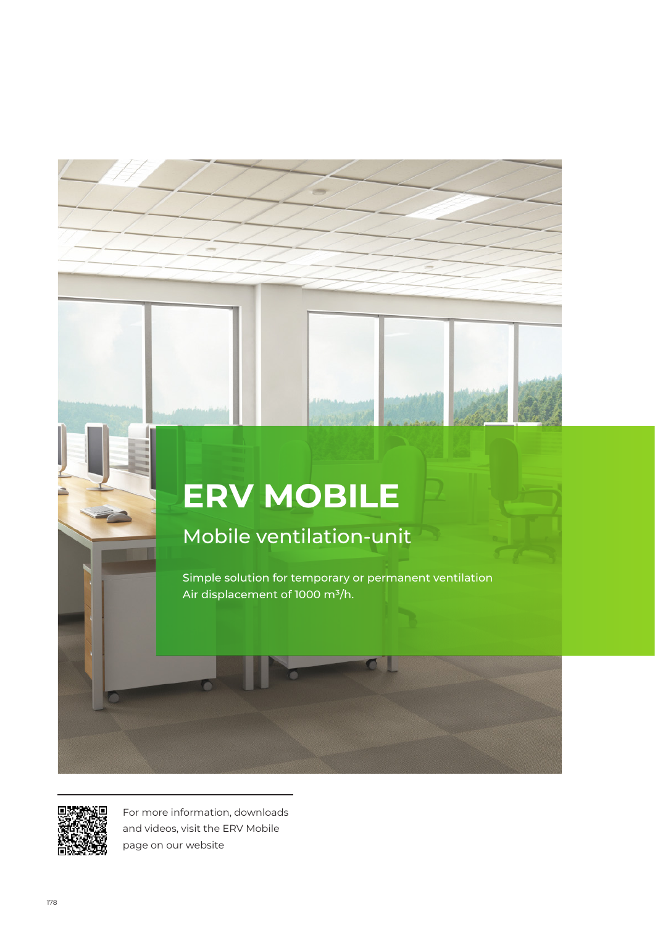# **ERV MOBILE**

# Mobile ventilation-unit

Simple solution for temporary or permanent ventilation Air displacement of 1000 m<sup>3</sup>/h.



For more information, downloads and videos, visit the ERV Mobile page on our website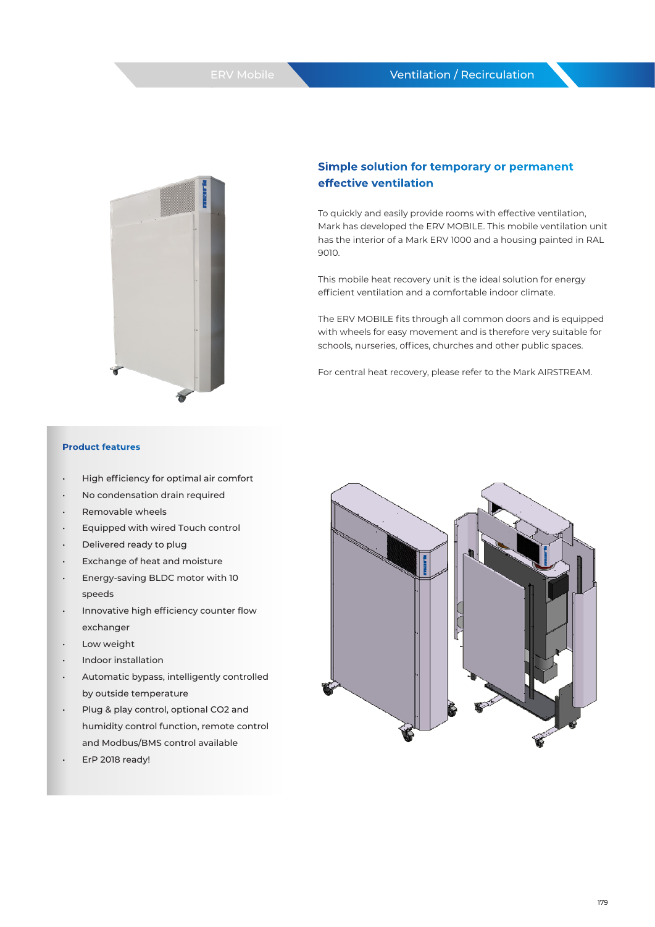#### Ventilation / Recirculation



### **Simple solution for temporary or permanent effective ventilation**

To quickly and easily provide rooms with effective ventilation, Mark has developed the ERV MOBILE. This mobile ventilation unit has the interior of a Mark ERV 1000 and a housing painted in RAL 9010.

This mobile heat recovery unit is the ideal solution for energy efficient ventilation and a comfortable indoor climate.

The ERV MOBILE fits through all common doors and is equipped with wheels for easy movement and is therefore very suitable for schools, nurseries, offices, churches and other public spaces.

For central heat recovery, please refer to the Mark AIRSTREAM.

#### **Product features**

- High efficiency for optimal air comfort
- No condensation drain required
- Removable wheels
- Equipped with wired Touch control
- Delivered ready to plug
- Exchange of heat and moisture
- Energy-saving BLDC motor with 10 speeds
- Innovative high efficiency counter flow exchanger
- Low weight
- Indoor installation
- Automatic bypass, intelligently controlled by outside temperature
- Plug & play control, optional CO2 and humidity control function, remote control and Modbus/BMS control available
- ErP 2018 ready!